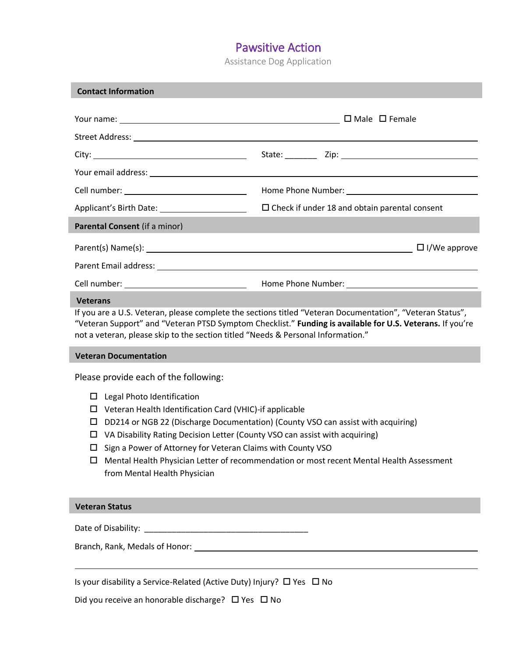Assistance Dog Application

| <b>Contact Information</b>                                                                                                                                                                                                                                                                                                                                                                                                                                                                                                 |                                                                                                                 |  |
|----------------------------------------------------------------------------------------------------------------------------------------------------------------------------------------------------------------------------------------------------------------------------------------------------------------------------------------------------------------------------------------------------------------------------------------------------------------------------------------------------------------------------|-----------------------------------------------------------------------------------------------------------------|--|
|                                                                                                                                                                                                                                                                                                                                                                                                                                                                                                                            |                                                                                                                 |  |
|                                                                                                                                                                                                                                                                                                                                                                                                                                                                                                                            |                                                                                                                 |  |
|                                                                                                                                                                                                                                                                                                                                                                                                                                                                                                                            |                                                                                                                 |  |
|                                                                                                                                                                                                                                                                                                                                                                                                                                                                                                                            |                                                                                                                 |  |
|                                                                                                                                                                                                                                                                                                                                                                                                                                                                                                                            | Home Phone Number: 1999 Manuscript Phone Phone Number:                                                          |  |
|                                                                                                                                                                                                                                                                                                                                                                                                                                                                                                                            | $\square$ Check if under 18 and obtain parental consent                                                         |  |
| Parental Consent (if a minor)                                                                                                                                                                                                                                                                                                                                                                                                                                                                                              |                                                                                                                 |  |
|                                                                                                                                                                                                                                                                                                                                                                                                                                                                                                                            | Parent(s) Name(s): 2012 2022 2023 2024 2024 2022 2023 2024 2022 2024 2022 2024 2022 2023 2024 2022 2023 2024 20 |  |
|                                                                                                                                                                                                                                                                                                                                                                                                                                                                                                                            |                                                                                                                 |  |
|                                                                                                                                                                                                                                                                                                                                                                                                                                                                                                                            |                                                                                                                 |  |
| If you are a U.S. Veteran, please complete the sections titled "Veteran Documentation", "Veteran Status",<br>"Veteran Support" and "Veteran PTSD Symptom Checklist." Funding is available for U.S. Veterans. If you're<br>not a veteran, please skip to the section titled "Needs & Personal Information."<br><b>Veteran Documentation</b>                                                                                                                                                                                 |                                                                                                                 |  |
| Please provide each of the following:<br>Legal Photo Identification<br>□<br>Veteran Health Identification Card (VHIC)-if applicable<br>□<br>DD214 or NGB 22 (Discharge Documentation) (County VSO can assist with acquiring)<br>□<br>VA Disability Rating Decision Letter (County VSO can assist with acquiring)<br>□<br>Sign a Power of Attorney for Veteran Claims with County VSO<br>◻<br>Mental Health Physician Letter of recommendation or most recent Mental Health Assessment<br>□<br>from Mental Health Physician |                                                                                                                 |  |
| <b>Veteran Status</b>                                                                                                                                                                                                                                                                                                                                                                                                                                                                                                      |                                                                                                                 |  |
|                                                                                                                                                                                                                                                                                                                                                                                                                                                                                                                            |                                                                                                                 |  |
|                                                                                                                                                                                                                                                                                                                                                                                                                                                                                                                            |                                                                                                                 |  |

Is your disability a Service-Related (Active Duty) Injury?  $\Box$  Yes  $\Box$  No

Did you receive an honorable discharge?  $\Box$  Yes  $\Box$  No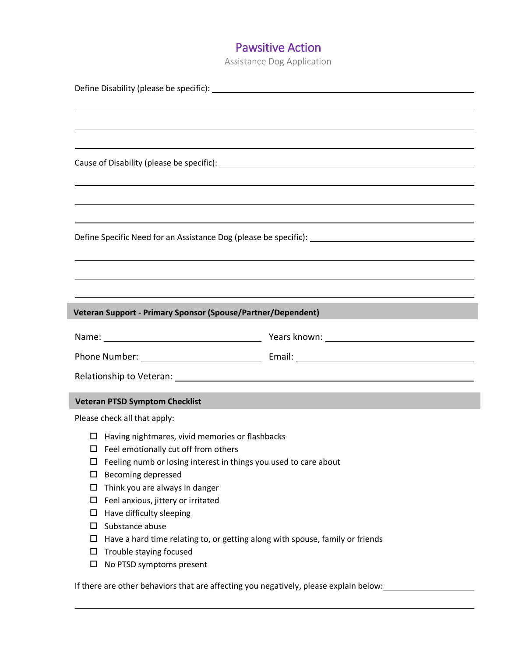Assistance Dog Application

|                                                                                       | ,我们也不会有什么。""我们的人,我们也不会有什么?""我们的人,我们也不会有什么?""我们的人,我们也不会有什么?""我们的人,我们也不会有什么?""我们的人                                       |  |
|---------------------------------------------------------------------------------------|------------------------------------------------------------------------------------------------------------------------|--|
|                                                                                       |                                                                                                                        |  |
|                                                                                       |                                                                                                                        |  |
|                                                                                       |                                                                                                                        |  |
|                                                                                       | ,我们也不会有什么。""我们的人,我们也不会有什么?""我们的人,我们也不会有什么?""我们的人,我们也不会有什么?""我们的人,我们也不会有什么?""我们的人                                       |  |
|                                                                                       | ,我们也不会有什么。""我们的人,我们也不会有什么?""我们的人,我们也不会有什么?""我们的人,我们也不会有什么?""我们的人,我们也不会有什么?""我们的人                                       |  |
|                                                                                       |                                                                                                                        |  |
|                                                                                       | ,我们也不会有什么。""我们的人,我们也不会有什么?""我们的人,我们也不会有什么?""我们的人,我们也不会有什么?""我们的人,我们也不会有什么?""我们的人                                       |  |
|                                                                                       |                                                                                                                        |  |
|                                                                                       | ,我们也不会有什么。""我们的人,我们也不会有什么?""我们的人,我们也不会有什么?""我们的人,我们也不会有什么?""我们的人,我们也不会有什么?""我们的人                                       |  |
|                                                                                       | <u> 1989 - Andrea Santana, amerikana amerikana amerikana amerikana amerikana amerikana amerikana amerikana amerika</u> |  |
| Veteran Support - Primary Sponsor (Spouse/Partner/Dependent)                          |                                                                                                                        |  |
|                                                                                       |                                                                                                                        |  |
|                                                                                       |                                                                                                                        |  |
|                                                                                       | Relationship to Veteran: experience and a series of the series of the series of the series of the series of the        |  |
|                                                                                       |                                                                                                                        |  |
| <b>Veteran PTSD Symptom Checklist</b>                                                 |                                                                                                                        |  |
| Please check all that apply:                                                          |                                                                                                                        |  |
| $\Box$ Having nightmares, vivid memories or flashbacks                                |                                                                                                                        |  |
| $\Box$ Feel emotionally cut off from others                                           |                                                                                                                        |  |
| Feeling numb or losing interest in things you used to care about<br>□                 |                                                                                                                        |  |
| <b>Becoming depressed</b><br>□                                                        |                                                                                                                        |  |
| Think you are always in danger<br>□                                                   |                                                                                                                        |  |
| Feel anxious, jittery or irritated<br>ப                                               |                                                                                                                        |  |
| Have difficulty sleeping<br>□                                                         |                                                                                                                        |  |
| Substance abuse<br>□                                                                  |                                                                                                                        |  |
| Have a hard time relating to, or getting along with spouse, family or friends<br>ப    |                                                                                                                        |  |
| Trouble staying focused<br>ப                                                          |                                                                                                                        |  |
| No PTSD symptoms present<br>□                                                         |                                                                                                                        |  |
| If there are other behaviors that are affecting you negatively, please explain below: |                                                                                                                        |  |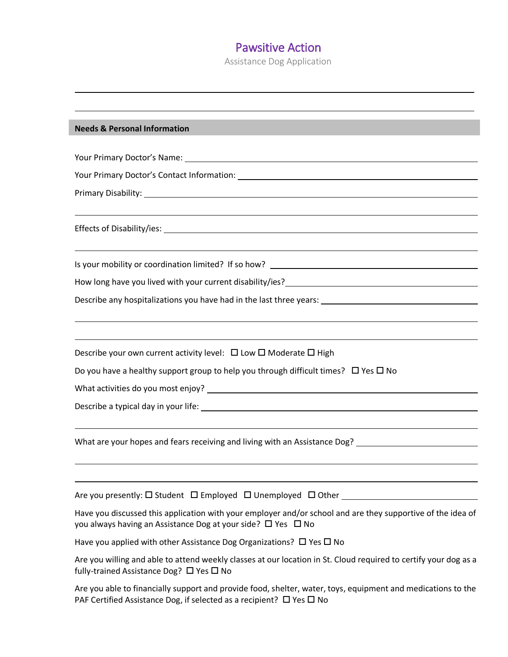Assistance Dog Application

#### **Needs & Personal Information**

Your Primary Doctor's Name:

Your Primary Doctor's Contact Information:

Primary Disability:

Effects of Disability/ies:

Is your mobility or coordination limited? If so how?

How long have you lived with your current disability/ies?

Describe any hospitalizations you have had in the last three years:

Describe your own current activity level:  $\Box$  Low  $\Box$  Moderate  $\Box$  High

Do you have a healthy support group to help you through difficult times?  $\Box$  Yes  $\Box$  No

What activities do you most enjoy?

Describe a typical day in your life:

What are your hopes and fears receiving and living with an Assistance Dog?

Are you presently:  $\square$  Student  $\;\square$  Employed  $\;\square$  Unemployed  $\;\square$  Other  $\;\square$ 

Have you discussed this application with your employer and/or school and are they supportive of the idea of you always having an Assistance Dog at your side?  $\Box$  Yes  $\Box$  No

Have you applied with other Assistance Dog Organizations?  $\Box$  Yes  $\Box$  No

Are you willing and able to attend weekly classes at our location in St. Cloud required to certify your dog as a fully-trained Assistance Dog?  $\Box$  Yes  $\Box$  No

Are you able to financially support and provide food, shelter, water, toys, equipment and medications to the PAF Certified Assistance Dog, if selected as a recipient?  $\Box$  Yes  $\Box$  No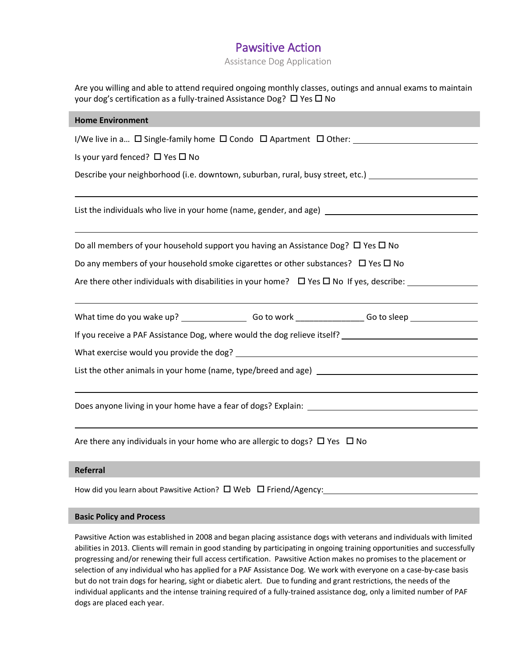Assistance Dog Application

| Are you willing and able to attend required ongoing monthly classes, outings and annual exams to maintain<br>your dog's certification as a fully-trained Assistance Dog? □ Yes □ No |  |  |  |
|-------------------------------------------------------------------------------------------------------------------------------------------------------------------------------------|--|--|--|
| <b>Home Environment</b>                                                                                                                                                             |  |  |  |
| I/We live in a $\Box$ Single-family home $\Box$ Condo $\Box$ Apartment $\Box$ Other:                                                                                                |  |  |  |
| Is your yard fenced? $\Box$ Yes $\Box$ No                                                                                                                                           |  |  |  |
| Describe your neighborhood (i.e. downtown, suburban, rural, busy street, etc.) [100] [20] Describe your neighborhood (i.e. downtown, suburban, rural, busy street, etc.)            |  |  |  |
|                                                                                                                                                                                     |  |  |  |
| List the individuals who live in your home (name, gender, and age) _________________________________                                                                                |  |  |  |
|                                                                                                                                                                                     |  |  |  |
| Do all members of your household support you having an Assistance Dog? $\Box$ Yes $\Box$ No                                                                                         |  |  |  |
| Do any members of your household smoke cigarettes or other substances? $\Box$ Yes $\Box$ No                                                                                         |  |  |  |
| Are there other individuals with disabilities in your home? $\Box$ Yes $\Box$ No If yes, describe:                                                                                  |  |  |  |
|                                                                                                                                                                                     |  |  |  |
|                                                                                                                                                                                     |  |  |  |
|                                                                                                                                                                                     |  |  |  |
|                                                                                                                                                                                     |  |  |  |
|                                                                                                                                                                                     |  |  |  |
|                                                                                                                                                                                     |  |  |  |
|                                                                                                                                                                                     |  |  |  |
|                                                                                                                                                                                     |  |  |  |
| Are there any individuals in your home who are allergic to dogs? $\Box$ Yes $\Box$ No                                                                                               |  |  |  |

#### **Referral**

How did you learn about Pawsitive Action?  $\square$  Web  $\square$  Friend/Agency:

#### **Basic Policy and Process**

Pawsitive Action was established in 2008 and began placing assistance dogs with veterans and individuals with limited abilities in 2013. Clients will remain in good standing by participating in ongoing training opportunities and successfully progressing and/or renewing their full access certification. Pawsitive Action makes no promises to the placement or selection of any individual who has applied for a PAF Assistance Dog. We work with everyone on a case-by-case basis but do not train dogs for hearing, sight or diabetic alert. Due to funding and grant restrictions, the needs of the individual applicants and the intense training required of a fully-trained assistance dog, only a limited number of PAF dogs are placed each year.